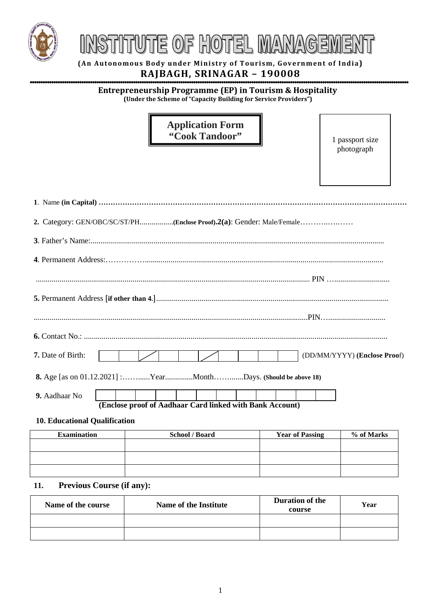

# TUTE OF HOTEL MANAGE

**(An Autonomous Body under Ministry of Tourism, Government of India) RAJBAGH, SRINAGAR – 190008**

#### **Entrepreneurship Programme (EP) in Tourism & Hospitality (Under the Scheme of "Capacity Building for Service Providers")**

### **Application Form "Cook Tandoor"**

1 passport size photograph

| <b>7.</b> Date of Birth:                                       |  |  |  |  |  |  | (DD/MM/YYYY) (Enclose Proof) |  |
|----------------------------------------------------------------|--|--|--|--|--|--|------------------------------|--|
| 8. Age [as on 01.12.2021] :YearMonthDays. (Should be above 18) |  |  |  |  |  |  |                              |  |
| 9. Aadhaar No                                                  |  |  |  |  |  |  |                              |  |

**(Enclose proof of Aadhaar Card linked with Bank Account)**

#### **10. Educational Qualification**

| <b>Examination</b> | <b>School / Board</b> | <b>Year of Passing</b> | % of Marks |
|--------------------|-----------------------|------------------------|------------|
|                    |                       |                        |            |
|                    |                       |                        |            |
|                    |                       |                        |            |

#### **11. Previous Course (if any):**

| Name of the course | Name of the Institute | Duration of the<br>course | Year |
|--------------------|-----------------------|---------------------------|------|
|                    |                       |                           |      |
|                    |                       |                           |      |